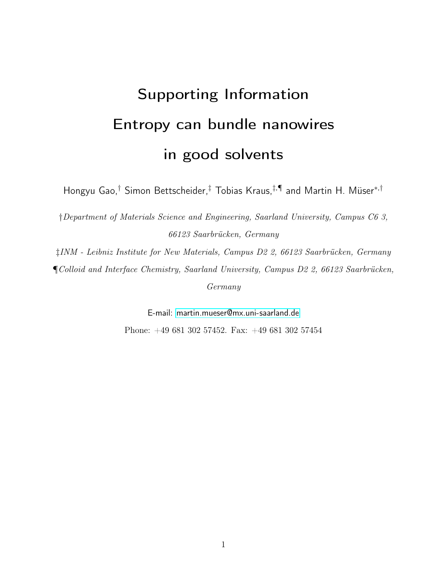# <span id="page-0-0"></span>Supporting Information Entropy can bundle nanowires in good solvents

Hongyu Gao,† Simon Bettscheider,‡ Tobias Kraus,‡,¶ and Martin H. Müser<sup>∗</sup>,†

†Department of Materials Science and Engineering, Saarland University, Campus C6 3, 66123 Saarbrücken, Germany

‡INM - Leibniz Institute for New Materials, Campus D2 2, 66123 Saarbrücken, Germany ¶Colloid and Interface Chemistry, Saarland University, Campus D2 2, 66123 Saarbrücken, Germany

> E-mail:<martin.mueser@mx.uni-saarland.de> Phone: +49 681 302 57452. Fax: +49 681 302 57454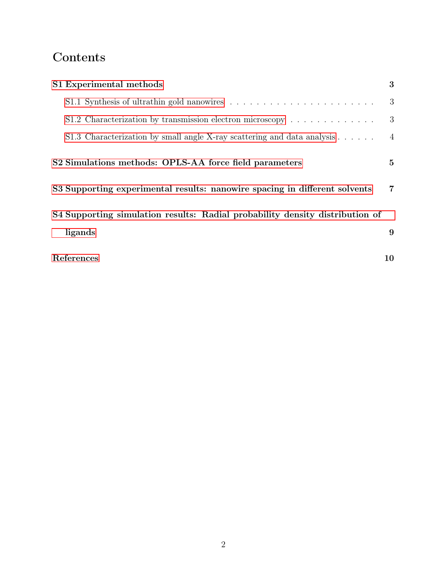### Contents

| S1 Experimental methods                                                               | 3               |
|---------------------------------------------------------------------------------------|-----------------|
|                                                                                       | 3               |
| S1.2 Characterization by transmission electron microscopy $\dots \dots \dots \dots$   | 3               |
| S1.3 Characterization by small angle X-ray scattering and data analysis $\dots \dots$ | $\overline{4}$  |
| S2 Simulations methods: OPLS-AA force field parameters                                | $5\overline{)}$ |
| S3 Supporting experimental results: nanowire spacing in different solvents            | $\overline{7}$  |
| S4 Supporting simulation results: Radial probability density distribution of          |                 |
| ligands                                                                               | 9               |
| References                                                                            | 10              |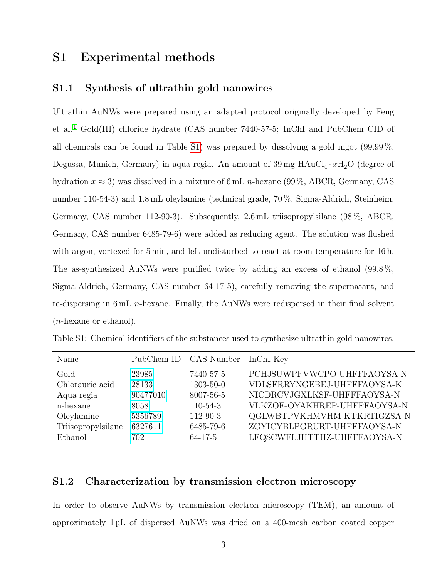#### <span id="page-2-0"></span>S1 Experimental methods

#### <span id="page-2-1"></span>S1.1 Synthesis of ultrathin gold nanowires

Ultrathin AuNWs were prepared using an adapted protocol originally developed by Feng et al.[1](#page-9-1) Gold(III) chloride hydrate (CAS number 7440-57-5; InChI and PubChem CID of all chemicals can be found in Table [S1\)](#page-2-3) was prepared by dissolving a gold ingot (99.99 %, Degussa, Munich, Germany) in aqua regia. An amount of  $39 \,\text{mg HAuCl}_4 \cdot x\text{H}_2\text{O}$  (degree of hydration  $x \approx 3$ ) was dissolved in a mixture of 6 mL n-hexane (99%, ABCR, Germany, CAS number 110-54-3) and 1.8 mL oleylamine (technical grade, 70 %, Sigma-Aldrich, Steinheim, Germany, CAS number 112-90-3). Subsequently, 2.6 mL triisopropylsilane (98 %, ABCR, Germany, CAS number 6485-79-6) were added as reducing agent. The solution was flushed with argon, vortexed for 5 min, and left undisturbed to react at room temperature for 16 h. The as-synthesized AuNWs were purified twice by adding an excess of ethanol (99.8 %, Sigma-Aldrich, Germany, CAS number 64-17-5), carefully removing the supernatant, and re-dispersing in 6 mL n-hexane. Finally, the AuNWs were redispersed in their final solvent (n-hexane or ethanol).

<span id="page-2-3"></span>

|  |  |  |  |  | Table S1: Chemical identifiers of the substances used to synthesize ultrathin gold nanowires. |
|--|--|--|--|--|-----------------------------------------------------------------------------------------------|
|  |  |  |  |  |                                                                                               |

| Name               |          | PubChem ID CAS Number InChI Key |                              |
|--------------------|----------|---------------------------------|------------------------------|
| Gold               | 23985    | 7440-57-5                       | PCHJSUWPFVWCPO-UHFFFAOYSA-N  |
| Chlorauric acid    | 28133    | 1303-50-0                       | VDLSFRRYNGEBEJ-UHFFFAOYSA-K  |
| Aqua regia         | 90477010 | 8007-56-5                       | NICDRCVJGXLKSF-UHFFFAOYSA-N  |
| n-hexane           | 8058     | $110 - 54 - 3$                  | VLKZOE-OYAKHREP-UHFFFAOYSA-N |
| Oleylamine         | 5356789  | $112 - 90 - 3$                  | QGLWBTPVKHMVHM-KTKRTIGZSA-N  |
| Triisopropylsilane | 6327611  | 6485-79-6                       | ZGYICYBLPGRURT-UHFFFAOYSA-N  |
| Ethanol            | 702      | $64 - 17 - 5$                   | LFQSCWFLJHTTHZ-UHFFFAOYSA-N  |

#### <span id="page-2-2"></span>S1.2 Characterization by transmission electron microscopy

In order to observe AuNWs by transmission electron microscopy (TEM), an amount of approximately 1 µL of dispersed AuNWs was dried on a 400-mesh carbon coated copper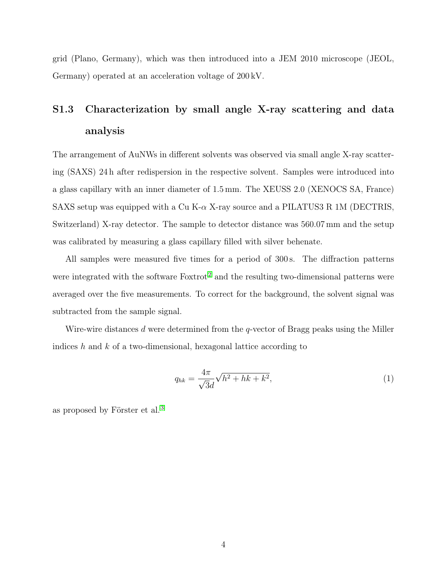grid (Plano, Germany), which was then introduced into a JEM 2010 microscope (JEOL, Germany) operated at an acceleration voltage of 200 kV.

### <span id="page-3-0"></span>S1.3 Characterization by small angle X-ray scattering and data analysis

The arrangement of AuNWs in different solvents was observed via small angle X-ray scattering (SAXS) 24 h after redispersion in the respective solvent. Samples were introduced into a glass capillary with an inner diameter of 1.5 mm. The XEUSS 2.0 (XENOCS SA, France) SAXS setup was equipped with a Cu K- $\alpha$  X-ray source and a PILATUS3 R 1M (DECTRIS, Switzerland) X-ray detector. The sample to detector distance was 560.07 mm and the setup was calibrated by measuring a glass capillary filled with silver behenate.

All samples were measured five times for a period of 300 s. The diffraction patterns were integrated with the software  $\text{Fokrot}^2$  $\text{Fokrot}^2$  and the resulting two-dimensional patterns were averaged over the five measurements. To correct for the background, the solvent signal was subtracted from the sample signal.

Wire-wire distances d were determined from the q-vector of Bragg peaks using the Miller indices h and  $k$  of a two-dimensional, hexagonal lattice according to

<span id="page-3-1"></span>
$$
q_{hk} = \frac{4\pi}{\sqrt{3}d} \sqrt{h^2 + hk + k^2},
$$
\n(1)

as proposed by Förster et al. [3](#page-9-3)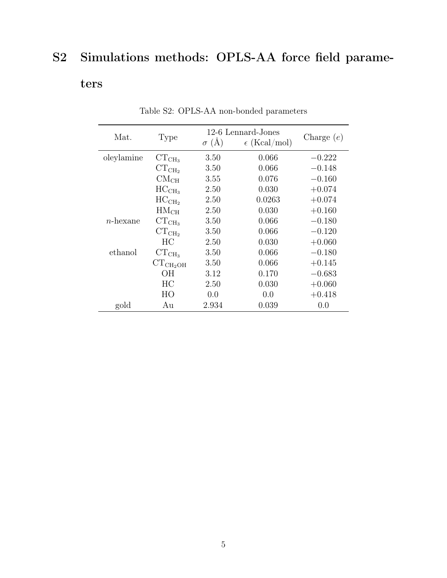## <span id="page-4-0"></span>S2 Simulations methods: OPLS-AA force field parame-

### ters

| Mat.        | Type             | $\sigma$ (Å) | 12-6 Lennard-Jones<br>$\epsilon$ (Kcal/mol) | Charge $(e)$ |
|-------------|------------------|--------------|---------------------------------------------|--------------|
| oleylamine  | $CT_{CH_3}$      | 3.50         | 0.066                                       | $-0.222$     |
|             | $CT_{CH_2}$      | 3.50         | 0.066                                       | $-0.148$     |
|             | CM <sub>CH</sub> | 3.55         | 0.076                                       | $-0.160$     |
|             | $HC_{CH_3}$      | 2.50         | 0.030                                       | $+0.074$     |
|             | $HC_{CH_2}$      | 2.50         | 0.0263                                      | $+0.074$     |
|             | HM <sub>CH</sub> | 2.50         | 0.030                                       | $+0.160$     |
| $n$ -hexane | $CT_{CH_3}$      | 3.50         | 0.066                                       | $-0.180$     |
|             | $CT_{CH_2}$      | 3.50         | 0.066                                       | $-0.120$     |
|             | HС               | 2.50         | 0.030                                       | $+0.060$     |
| ethanol     | $CT_{CH_3}$      | 3.50         | 0.066                                       | $-0.180$     |
|             | $CT_{CH_2OH}$    | 3.50         | 0.066                                       | $+0.145$     |
|             | OН               | 3.12         | 0.170                                       | $-0.683$     |
|             | HC               | 2.50         | 0.030                                       | $+0.060$     |
|             | HO               | 0.0          | 0.0                                         | $+0.418$     |
| gold        | Au               | 2.934        | 0.039                                       | 0.0          |

Table S2: OPLS-AA non-bonded parameters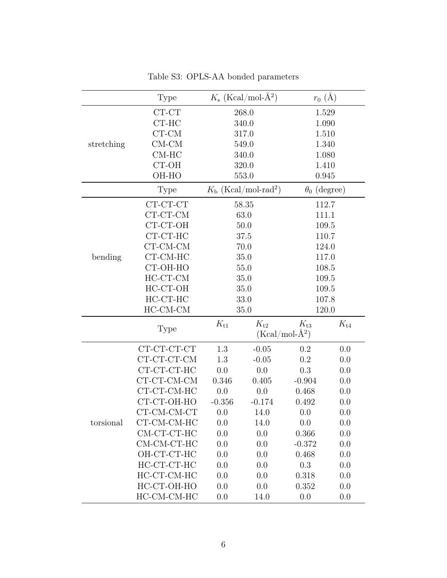|            | Type                      |          | $K_{\rm s}$ (Kcal/mol-Å <sup>2</sup> )   | $r_0(A)$            |          |  |  |
|------------|---------------------------|----------|------------------------------------------|---------------------|----------|--|--|
|            | CT-CT                     |          | 268.0                                    | 1.529               |          |  |  |
|            | CT-HC                     |          | 340.0                                    | 1.090               |          |  |  |
|            | $CT-CM$                   |          | 317.0                                    | 1.510               |          |  |  |
| stretching | $CM-CM$                   |          | 549.0                                    | 1.340               |          |  |  |
|            | $CM-HC$                   |          | 340.0                                    | 1.080               |          |  |  |
|            | $CT-OH$                   |          | 320.0                                    |                     | 1.410    |  |  |
|            | OH-HO                     |          | 553.0                                    | 0.945               |          |  |  |
|            | Type                      |          | $K_{\rm b}$ (Kcal/mol-rad <sup>2</sup> ) | $\theta_0$ (degree) |          |  |  |
|            | CT-CT-CT                  |          | 58.35                                    | 112.7               |          |  |  |
|            | $CT-CT-CM$                |          | 63.0                                     | 111.1               |          |  |  |
|            | CT-CT-OH                  |          | 50.0                                     |                     | 109.5    |  |  |
|            | $\operatorname{CT-CT-HC}$ |          | 37.5                                     | 110.7               |          |  |  |
|            | $CT$ - $CM$ - $CM$        |          | 70.0                                     | 124.0               |          |  |  |
| bending    | CT-CM-HC                  |          | 35.0                                     | 117.0               |          |  |  |
|            | CT-OH-HO                  |          | 55.0                                     | 108.5               |          |  |  |
|            | HC-CT-CM                  |          | 35.0                                     | 109.5               |          |  |  |
|            | HC-CT-OH                  |          | 35.0                                     | 109.5               |          |  |  |
|            | $HC-CT-HC$                |          | 33.0                                     | 107.8               |          |  |  |
|            | HC-CM-CM                  |          | 35.0                                     | 120.0               |          |  |  |
|            | Type                      | $K_{t1}$ | $K_{t2}$                                 | $K_{t3}$            | $K_{t4}$ |  |  |
|            |                           |          |                                          | $(Kcal/mol-A^2)$    |          |  |  |
|            | CT-CT-CT-CT               | 1.3      | $-0.05$                                  | 0.2                 | 0.0      |  |  |
|            | CT-CT-CT-CM               | 1.3      | $-0.05$                                  | 0.2                 | 0.0      |  |  |
|            | CT-CT-CT-HC               | 0.0      | 0.0                                      | 0.3                 | 0.0      |  |  |
|            | CT-CT-CM-CM               | 0.346    | 0.405                                    | $-0.904$            | 0.0      |  |  |
|            | CT-CT-CM-HC               | 0.0      | 0.0                                      | 0.468               | 0.0      |  |  |
|            | CT-CT-OH-HO               | $-0.356$ | $-0.174$                                 | 0.492               | 0.0      |  |  |
|            | CT-CM-CM-CT               | 0.0      | 14.0                                     | 0.0                 | 0.0      |  |  |
| torsional  | CT-CM-CM-HC               | 0.0      | 14.0                                     | 0.0                 | 0.0      |  |  |
|            | CM-CT-CT-HC               | 0.0      | 0.0                                      | 0.366               | 0.0      |  |  |
|            | CM-CM-CT-HC               | 0.0      | 0.0                                      | $-0.372$            | 0.0      |  |  |
|            | OH-CT-CT-HC               | 0.0      | 0.0                                      | 0.468               | 0.0      |  |  |
|            | HC-CT-CT-HC               | 0.0      | 0.0                                      | 0.3                 | 0.0      |  |  |
|            | HC-CT-CM-HC               | 0.0      | 0.0                                      | 0.318               | 0.0      |  |  |
|            | HC-CT-OH-HO               | 0.0      | 0.0                                      | 0.352               | 0.0      |  |  |
|            | HC-CM-CM-HC               | 0.0      | 14.0                                     | 0.0                 | 0.0      |  |  |

Table S3: OPLS-AA bonded parameters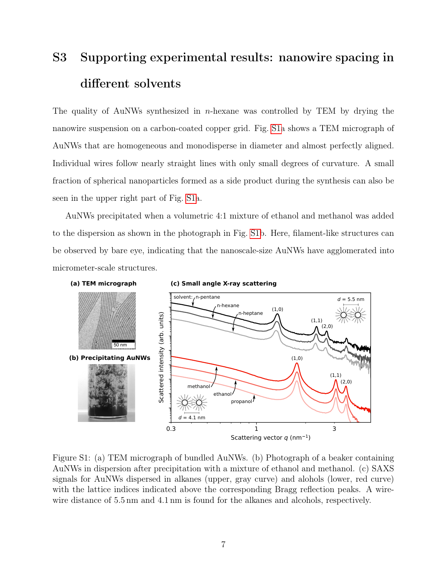# <span id="page-6-0"></span>S3 Supporting experimental results: nanowire spacing in different solvents

The quality of AuNWs synthesized in *n*-hexane was controlled by TEM by drying the nanowire suspension on a carbon-coated copper grid. Fig. [S1a](#page-6-1) shows a TEM micrograph of AuNWs that are homogeneous and monodisperse in diameter and almost perfectly aligned. Individual wires follow nearly straight lines with only small degrees of curvature. A small fraction of spherical nanoparticles formed as a side product during the synthesis can also be seen in the upper right part of Fig. [S1a](#page-6-1).

AuNWs precipitated when a volumetric 4:1 mixture of ethanol and methanol was added to the dispersion as shown in the photograph in Fig. [S1b](#page-6-1). Here, filament-like structures can be observed by bare eye, indicating that the nanoscale-size AuNWs have agglomerated into micrometer-scale structures.

<span id="page-6-1"></span>

Figure S1: (a) TEM micrograph of bundled AuNWs. (b) Photograph of a beaker containing AuNWs in dispersion after precipitation with a mixture of ethanol and methanol. (c) SAXS signals for AuNWs dispersed in alkanes (upper, gray curve) and alohols (lower, red curve) with the lattice indices indicated above the corresponding Bragg reflection peaks. A wirewire distance of 5.5 nm and 4.1 nm is found for the alkanes and alcohols, respectively.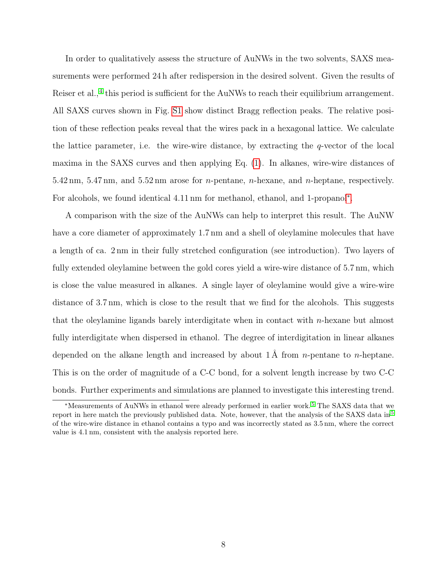In order to qualitatively assess the structure of AuNWs in the two solvents, SAXS measurements were performed 24 h after redispersion in the desired solvent. Given the results of Reiser et al.,<sup>[4](#page-9-4)</sup> this period is sufficient for the AuNWs to reach their equilibrium arrangement. All SAXS curves shown in Fig. [S1](#page-6-1) show distinct Bragg reflection peaks. The relative position of these reflection peaks reveal that the wires pack in a hexagonal lattice. We calculate the lattice parameter, i.e. the wire-wire distance, by extracting the  $q$ -vector of the local maxima in the SAXS curves and then applying Eq. [\(1\)](#page-3-1). In alkanes, wire-wire distances of 5.42 nm, 5.47 nm, and 5.52 nm arose for n-pentane, n-hexane, and n-heptane, respectively. For alcohols, we found identical 4.11 nm for methanol, ethanol, and 1-propanol[∗](#page-0-0) .

A comparison with the size of the AuNWs can help to interpret this result. The AuNW have a core diameter of approximately 1.7 nm and a shell of oleylamine molecules that have a length of ca. 2 nm in their fully stretched configuration (see introduction). Two layers of fully extended oleylamine between the gold cores yield a wire-wire distance of 5.7 nm, which is close the value measured in alkanes. A single layer of oleylamine would give a wire-wire distance of 3.7 nm, which is close to the result that we find for the alcohols. This suggests that the oleylamine ligands barely interdigitate when in contact with n-hexane but almost fully interdigitate when dispersed in ethanol. The degree of interdigitation in linear alkanes depended on the alkane length and increased by about  $1 \text{ Å}$  from *n*-pentane to *n*-heptane. This is on the order of magnitude of a C-C bond, for a solvent length increase by two C-C bonds. Further experiments and simulations are planned to investigate this interesting trend.

<sup>∗</sup>Measurements of AuNWs in ethanol were already performed in earlier work. [5](#page-9-5) The SAXS data that we report in here match the previously published data. Note, however, that the analysis of the SAXS data in [5](#page-9-5) of the wire-wire distance in ethanol contains a typo and was incorrectly stated as 3.5 nm, where the correct value is 4.1 nm, consistent with the analysis reported here.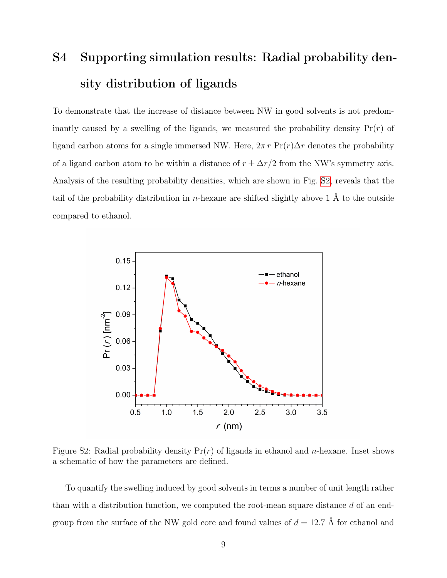# <span id="page-8-0"></span>S4 Supporting simulation results: Radial probability density distribution of ligands

To demonstrate that the increase of distance between NW in good solvents is not predominantly caused by a swelling of the ligands, we measured the probability density  $Pr(r)$  of ligand carbon atoms for a single immersed NW. Here,  $2\pi r \Pr(r) \Delta r$  denotes the probability of a ligand carbon atom to be within a distance of  $r \pm \Delta r/2$  from the NW's symmetry axis. Analysis of the resulting probability densities, which are shown in Fig. [S2,](#page-8-1) reveals that the tail of the probability distribution in *n*-hexane are shifted slightly above 1 Å to the outside compared to ethanol.

<span id="page-8-1"></span>

Figure S2: Radial probability density  $Pr(r)$  of ligands in ethanol and *n*-hexane. Inset shows a schematic of how the parameters are defined.

To quantify the swelling induced by good solvents in terms a number of unit length rather than with a distribution function, we computed the root-mean square distance d of an endgroup from the surface of the NW gold core and found values of  $d = 12.7 \text{ Å}$  for ethanol and